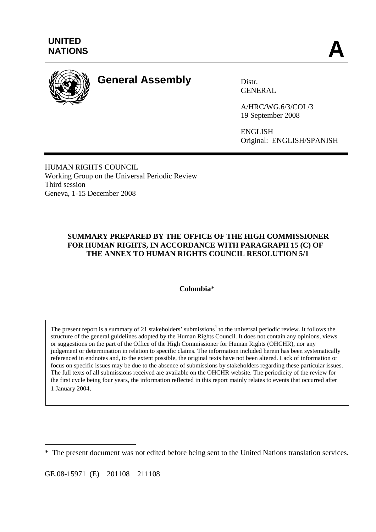

# **General Assembly** Distr.

GENERAL

A/HRC/WG.6/3/COL/3 19 September 2008

ENGLISH Original: ENGLISH/SPANISH

HUMAN RIGHTS COUNCIL Working Group on the Universal Periodic Review Third session Geneva, 1-15 December 2008

## **SUMMARY PREPARED BY THE OFFICE OF THE HIGH COMMISSIONER FOR HUMAN RIGHTS, IN ACCORDANCE WITH PARAGRAPH 15 (C) OF THE ANNEX TO HUMAN RIGHTS COUNCIL RESOLUTION 5/1**

## **Colombia**\*

The present report is a summary of 21 stakeholders' submissions<sup>1</sup> to the universal periodic review. It follows the structure of the general guidelines adopted by the Human Rights Council. It does not contain any opinions, views or suggestions on the part of the Office of the High Commissioner for Human Rights (OHCHR), nor any judgement or determination in relation to specific claims. The information included herein has been systematically referenced in endnotes and, to the extent possible, the original texts have not been altered. Lack of information or focus on specific issues may be due to the absence of submissions by stakeholders regarding these particular issues. The full texts of all submissions received are available on the OHCHR website. The periodicity of the review for the first cycle being four years, the information reflected in this report mainly relates to events that occurred after 1 January 2004.

GE.08-15971 (E) 201108 211108

 $\overline{a}$ 

<sup>\*</sup> The present document was not edited before being sent to the United Nations translation services.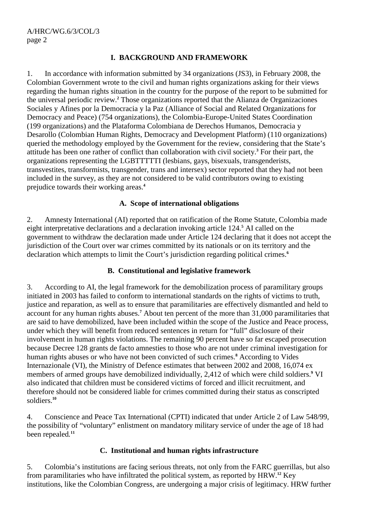## **I. BACKGROUND AND FRAMEWORK**

1. In accordance with information submitted by 34 organizations (JS3), in February 2008, the Colombian Government wrote to the civil and human rights organizations asking for their views regarding the human rights situation in the country for the purpose of the report to be submitted for the universal periodic review.**<sup>2</sup>** Those organizations reported that the Alianza de Organizaciones Sociales y Afines por la Democracia y la Paz (Alliance of Social and Related Organizations for Democracy and Peace) (754 organizations), the Colombia-Europe-United States Coordination (199 organizations) and the Plataforma Colombiana de Derechos Humanos, Democracia y Desarollo (Colombian Human Rights, Democracy and Development Platform) (110 organizations) queried the methodology employed by the Government for the review, considering that the State's attitude has been one rather of conflict than collaboration with civil society.**<sup>3</sup>** For their part, the organizations representing the LGBTTTTTI (lesbians, gays, bisexuals, transgenderists, transvestites, transformists, transgender, trans and intersex) sector reported that they had not been included in the survey, as they are not considered to be valid contributors owing to existing prejudice towards their working areas.**<sup>4</sup>**

## **A. Scope of international obligations**

2. Amnesty International (AI) reported that on ratification of the Rome Statute, Colombia made eight interpretative declarations and a declaration invoking article 124.**<sup>5</sup>** AI called on the government to withdraw the declaration made under Article 124 declaring that it does not accept the jurisdiction of the Court over war crimes committed by its nationals or on its territory and the declaration which attempts to limit the Court's jurisdiction regarding political crimes.**<sup>6</sup>**

## **B. Constitutional and legislative framework**

3. According to AI, the legal framework for the demobilization process of paramilitary groups initiated in 2003 has failed to conform to international standards on the rights of victims to truth, justice and reparation, as well as to ensure that paramilitaries are effectively dismantled and held to account for any human rights abuses.**<sup>7</sup>** About ten percent of the more than 31,000 paramilitaries that are said to have demobilized, have been included within the scope of the Justice and Peace process, under which they will benefit from reduced sentences in return for "full" disclosure of their involvement in human rights violations. The remaining 90 percent have so far escaped prosecution because Decree 128 grants de facto amnesties to those who are not under criminal investigation for human rights abuses or who have not been convicted of such crimes.**<sup>8</sup>** According to Vides Internazionale (VI), the Ministry of Defence estimates that between 2002 and 2008, 16,074 ex members of armed groups have demobilized individually, 2,412 of which were child soldiers.**<sup>9</sup>** VI also indicated that children must be considered victims of forced and illicit recruitment, and therefore should not be considered liable for crimes committed during their status as conscripted soldiers.**<sup>10</sup>**

4. Conscience and Peace Tax International (CPTI) indicated that under Article 2 of Law 548/99, the possibility of "voluntary" enlistment on mandatory military service of under the age of 18 had been repealed*.* **11**

## **C. Institutional and human rights infrastructure**

5. Colombia's institutions are facing serious threats, not only from the FARC guerrillas, but also from paramilitaries who have infiltrated the political system, as reported by HRW.**<sup>12</sup>** Key institutions, like the Colombian Congress, are undergoing a major crisis of legitimacy. HRW further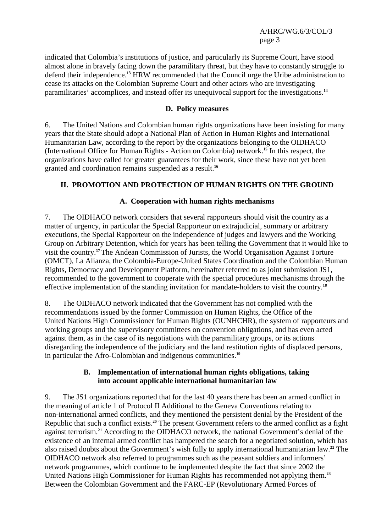A/HRC/WG.6/3/COL/3 page 3

indicated that Colombia's institutions of justice, and particularly its Supreme Court, have stood almost alone in bravely facing down the paramilitary threat, but they have to constantly struggle to defend their independence.**<sup>13</sup>** HRW recommended that the Council urge the Uribe administration to cease its attacks on the Colombian Supreme Court and other actors who are investigating paramilitaries' accomplices, and instead offer its unequivocal support for the investigations.**<sup>14</sup>**

## **D. Policy measures**

6. The United Nations and Colombian human rights organizations have been insisting for many years that the State should adopt a National Plan of Action in Human Rights and International Humanitarian Law, according to the report by the organizations belonging to the OIDHACO (International Office for Human Rights - Action on Colombia) network.**<sup>15</sup>** In this respect, the organizations have called for greater guarantees for their work, since these have not yet been granted and coordination remains suspended as a result.**<sup>16</sup>**

## **II. PROMOTION AND PROTECTION OF HUMAN RIGHTS ON THE GROUND**

## **A. Cooperation with human rights mechanisms**

7. The OIDHACO network considers that several rapporteurs should visit the country as a matter of urgency, in particular the Special Rapporteur on extrajudicial, summary or arbitrary executions, the Special Rapporteur on the independence of judges and lawyers and the Working Group on Arbitrary Detention, which for years has been telling the Government that it would like to visit the country.**<sup>17</sup>**The Andean Commission of Jurists, the World Organisation Against Torture (OMCT), La Alianza, the Colombia-Europe-United States Coordination and the Colombian Human Rights, Democracy and Development Platform, hereinafter referred to as joint submission JS1, recommended to the government to cooperate with the special procedures mechanisms through the effective implementation of the standing invitation for mandate-holders to visit the country.**<sup>18</sup>**

8. The OIDHACO network indicated that the Government has not complied with the recommendations issued by the former Commission on Human Rights, the Office of the United Nations High Commissioner for Human Rights (OUNHCHR), the system of rapporteurs and working groups and the supervisory committees on convention obligations, and has even acted against them, as in the case of its negotiations with the paramilitary groups, or its actions disregarding the independence of the judiciary and the land restitution rights of displaced persons, in particular the Afro-Colombian and indigenous communities.**<sup>19</sup>**

#### **B. Implementation of international human rights obligations, taking into account applicable international humanitarian law**

9. The JS1 organizations reported that for the last 40 years there has been an armed conflict in the meaning of article 1 of Protocol II Additional to the Geneva Conventions relating to non-international armed conflicts, and they mentioned the persistent denial by the President of the Republic that such a conflict exists.**<sup>20</sup>** The present Government refers to the armed conflict as a fight against terrorism.**<sup>21</sup>** According to the OIDHACO network, the national Government's denial of the existence of an internal armed conflict has hampered the search for a negotiated solution, which has also raised doubts about the Government's wish fully to apply international humanitarian law.**<sup>22</sup>** The OIDHACO network also referred to programmes such as the peasant soldiers and informers' network programmes, which continue to be implemented despite the fact that since 2002 the United Nations High Commissioner for Human Rights has recommended not applying them.**<sup>23</sup>** Between the Colombian Government and the FARC-EP (Revolutionary Armed Forces of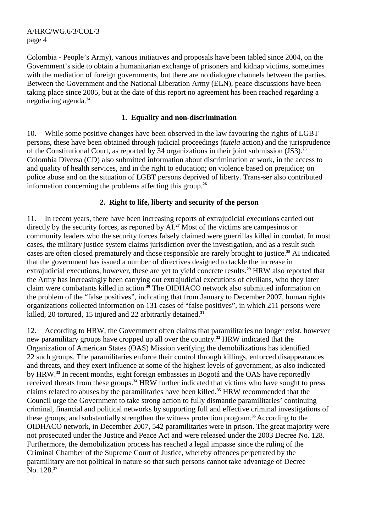A/HRC/WG.6/3/COL/3 page 4

Colombia - People's Army), various initiatives and proposals have been tabled since 2004, on the Government's side to obtain a humanitarian exchange of prisoners and kidnap victims, sometimes with the mediation of foreign governments, but there are no dialogue channels between the parties. Between the Government and the National Liberation Army (ELN), peace discussions have been taking place since 2005, but at the date of this report no agreement has been reached regarding a negotiating agenda.**<sup>24</sup>**

## **1. Equality and non-discrimination**

10. While some positive changes have been observed in the law favouring the rights of LGBT persons, these have been obtained through judicial proceedings (*tutela* action) and the jurisprudence of the Constitutional Court, as reported by 34 organizations in their joint submission (JS3).**<sup>25</sup>** Colombia Diversa (CD) also submitted information about discrimination at work, in the access to and quality of health services, and in the right to education; on violence based on prejudice; on police abuse and on the situation of LGBT persons deprived of liberty. Trans-ser also contributed information concerning the problems affecting this group.**<sup>26</sup>**

## **2. Right to life, liberty and security of the person**

11. In recent years, there have been increasing reports of extrajudicial executions carried out directly by the security forces, as reported by AI.**<sup>27</sup>** Most of the victims are campesinos or community leaders who the security forces falsely claimed were guerrillas killed in combat. In most cases, the military justice system claims jurisdiction over the investigation, and as a result such cases are often closed prematurely and those responsible are rarely brought to justice.**<sup>28</sup>** AI indicated that the government has issued a number of directives designed to tackle the increase in extrajudicial executions, however, these are yet to yield concrete results.**<sup>29</sup>** HRW also reported that the Army has increasingly been carrying out extrajudicial executions of civilians, who they later claim were combatants killed in action.**<sup>30</sup>** The OIDHACO network also submitted information on the problem of the "false positives", indicating that from January to December 2007, human rights organizations collected information on 131 cases of "false positives", in which 211 persons were killed, 20 tortured, 15 injured and 22 arbitrarily detained.**<sup>31</sup>**

12. According to HRW, the Government often claims that paramilitaries no longer exist, however new paramilitary groups have cropped up all over the country.**<sup>32</sup>** HRW indicated that the Organization of American States (OAS) Mission verifying the demobilizations has identified 22 such groups. The paramilitaries enforce their control through killings, enforced disappearances and threats, and they exert influence at some of the highest levels of government, as also indicated by HRW.**<sup>33</sup>** In recent months, eight foreign embassies in Bogotá and the OAS have reportedly received threats from these groups.**<sup>34</sup>** HRW further indicated that victims who have sought to press claims related to abuses by the paramilitaries have been killed.**<sup>35</sup>** HRW recommended that the Council urge the Government to take strong action to fully dismantle paramilitaries' continuing criminal, financial and political networks by supporting full and effective criminal investigations of these groups; and substantially strengthen the witness protection program.**<sup>36</sup>**According to the OIDHACO network, in December 2007, 542 paramilitaries were in prison. The great majority were not prosecuted under the Justice and Peace Act and were released under the 2003 Decree No. 128. Furthermore, the demobilization process has reached a legal impasse since the ruling of the Criminal Chamber of the Supreme Court of Justice, whereby offences perpetrated by the paramilitary are not political in nature so that such persons cannot take advantage of Decree No. 128.**37**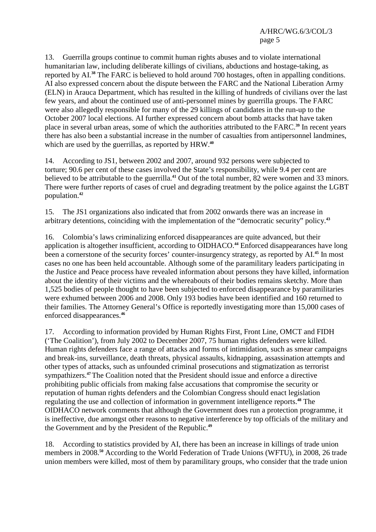13. Guerrilla groups continue to commit human rights abuses and to violate international humanitarian law, including deliberate killings of civilians, abductions and hostage-taking, as reported by AI.**<sup>38</sup>** The FARC is believed to hold around 700 hostages, often in appalling conditions. AI also expressed concern about the dispute between the FARC and the National Liberation Army (ELN) in Arauca Department, which has resulted in the killing of hundreds of civilians over the last few years, and about the continued use of anti-personnel mines by guerrilla groups. The FARC were also allegedly responsible for many of the 29 killings of candidates in the run-up to the October 2007 local elections. AI further expressed concern about bomb attacks that have taken place in several urban areas, some of which the authorities attributed to the FARC.**<sup>39</sup>** In recent years there has also been a substantial increase in the number of casualties from antipersonnel landmines, which are used by the guerrillas, as reported by HRW.**<sup>40</sup>**

14. According to JS1, between 2002 and 2007, around 932 persons were subjected to torture; 90.6 per cent of these cases involved the State's responsibility, while 9.4 per cent are believed to be attributable to the guerrilla.**<sup>41</sup>** Out of the total number, 82 were women and 33 minors. There were further reports of cases of cruel and degrading treatment by the police against the LGBT population.**<sup>42</sup>**

15. The JS1 organizations also indicated that from 2002 onwards there was an increase in arbitrary detentions, coinciding with the implementation of the "democratic security" policy.**<sup>43</sup>**

16. Colombia's laws criminalizing enforced disappearances are quite advanced, but their application is altogether insufficient, according to OIDHACO.**<sup>44</sup>** Enforced disappearances have long been a cornerstone of the security forces' counter-insurgency strategy, as reported by AI.**<sup>45</sup>** In most cases no one has been held accountable. Although some of the paramilitary leaders participating in the Justice and Peace process have revealed information about persons they have killed, information about the identity of their victims and the whereabouts of their bodies remains sketchy. More than 1,525 bodies of people thought to have been subjected to enforced disappearance by paramilitaries were exhumed between 2006 and 2008. Only 193 bodies have been identified and 160 returned to their families. The Attorney General's Office is reportedly investigating more than 15,000 cases of enforced disappearances.**<sup>46</sup>**

17. According to information provided by Human Rights First, Front Line, OMCT and FIDH ('The Coalition'), from July 2002 to December 2007, 75 human rights defenders were killed. Human rights defenders face a range of attacks and forms of intimidation, such as smear campaigns and break-ins, surveillance, death threats, physical assaults, kidnapping, assassination attempts and other types of attacks, such as unfounded criminal prosecutions and stigmatization as terrorist sympathizers.**<sup>47</sup>**The Coalition noted that the President should issue and enforce a directive prohibiting public officials from making false accusations that compromise the security or reputation of human rights defenders and the Colombian Congress should enact legislation regulating the use and collection of information in government intelligence reports.**<sup>48</sup>** The OIDHACO network comments that although the Government does run a protection programme, it is ineffective, due amongst other reasons to negative interference by top officials of the military and the Government and by the President of the Republic.**<sup>49</sup>**

18. According to statistics provided by AI, there has been an increase in killings of trade union members in 2008.**<sup>50</sup>** According to the World Federation of Trade Unions (WFTU), in 2008, 26 trade union members were killed, most of them by paramilitary groups, who consider that the trade union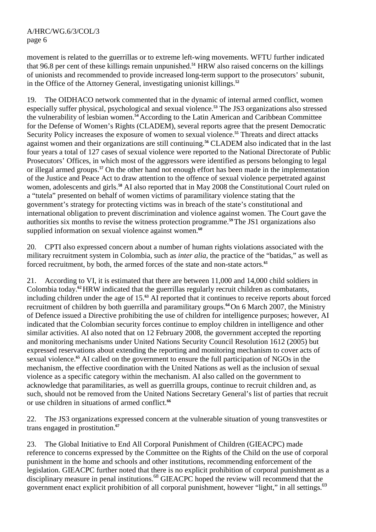movement is related to the guerrillas or to extreme left-wing movements. WFTU further indicated that 96.8 per cent of these killings remain unpunished.**<sup>51</sup>** HRW also raised concerns on the killings of unionists and recommended to provide increased long-term support to the prosecutors' subunit, in the Office of the Attorney General, investigating unionist killings.**<sup>52</sup>**

19. The OIDHACO network commented that in the dynamic of internal armed conflict, women especially suffer physical, psychological and sexual violence.**<sup>53</sup>** The JS3 organizations also stressed the vulnerability of lesbian women.**<sup>54</sup>**According to the Latin American and Caribbean Committee for the Defense of Women's Rights (CLADEM), several reports agree that the present Democratic Security Policy increases the exposure of women to sexual violence.**<sup>55</sup>** Threats and direct attacks against women and their organizations are still continuing.**<sup>56</sup>** CLADEM also indicated that in the last four years a total of 127 cases of sexual violence were reported to the National Directorate of Public Prosecutors' Offices, in which most of the aggressors were identified as persons belonging to legal or illegal armed groups.**<sup>57</sup>** On the other hand not enough effort has been made in the implementation of the Justice and Peace Act to draw attention to the offence of sexual violence perpetrated against women, adolescents and girls.**<sup>58</sup>** AI also reported that in May 2008 the Constitutional Court ruled on a "tutela" presented on behalf of women victims of paramilitary violence stating that the government's strategy for protecting victims was in breach of the state's constitutional and international obligation to prevent discrimination and violence against women. The Court gave the authorities six months to revise the witness protection programme.**<sup>59</sup>**The JS1 organizations also supplied information on sexual violence against women.**<sup>60</sup>**

20. CPTI also expressed concern about a number of human rights violations associated with the military recruitment system in Colombia, such as *inter alia*, the practice of the "batidas," as well as forced recruitment, by both, the armed forces of the state and non-state actors.**<sup>61</sup>**

21. According to VI, it is estimated that there are between 11,000 and 14,000 child soldiers in Colombia today.**<sup>62</sup>**HRW indicated that the guerrillas regularly recruit children as combatants, including children under the age of 15.**<sup>63</sup>** AI reported that it continues to receive reports about forced recruitment of children by both guerrilla and paramilitary groups.**<sup>64</sup>**On 6 March 2007, the Ministry of Defence issued a Directive prohibiting the use of children for intelligence purposes; however, AI indicated that the Colombian security forces continue to employ children in intelligence and other similar activities. AI also noted that on 12 February 2008, the government accepted the reporting and monitoring mechanisms under United Nations Security Council Resolution 1612 (2005) but expressed reservations about extending the reporting and monitoring mechanism to cover acts of sexual violence.**<sup>65</sup>** AI called on the government to ensure the full participation of NGOs in the mechanism, the effective coordination with the United Nations as well as the inclusion of sexual violence as a specific category within the mechanism. AI also called on the government to acknowledge that paramilitaries, as well as guerrilla groups, continue to recruit children and, as such, should not be removed from the United Nations Secretary General's list of parties that recruit or use children in situations of armed conflict.**<sup>66</sup>**

22. The JS3 organizations expressed concern at the vulnerable situation of young transvestites or trans engaged in prostitution.**<sup>67</sup>**

23. The Global Initiative to End All Corporal Punishment of Children (GIEACPC) made reference to concerns expressed by the Committee on the Rights of the Child on the use of corporal punishment in the home and schools and other institutions, recommending enforcement of the legislation. GIEACPC further noted that there is no explicit prohibition of corporal punishment as a disciplinary measure in penal institutions.<sup>68</sup> GIEACPC hoped the review will recommend that the government enact explicit prohibition of all corporal punishment, however "light," in all settings.<sup>69</sup>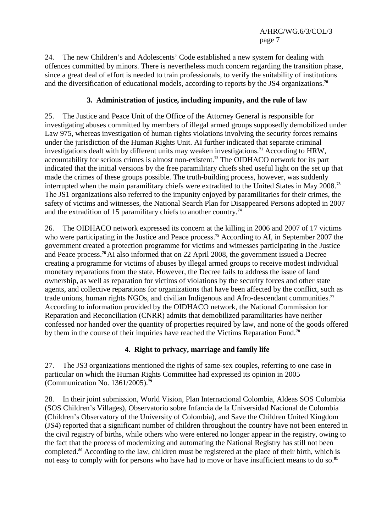24. The new Children's and Adolescents' Code established a new system for dealing with offences committed by minors. There is nevertheless much concern regarding the transition phase, since a great deal of effort is needed to train professionals, to verify the suitability of institutions and the diversification of educational models, according to reports by the JS4 organizations.**<sup>70</sup>**

# **3. Administration of justice, including impunity, and the rule of law**

25. The Justice and Peace Unit of the Office of the Attorney General is responsible for investigating abuses committed by members of illegal armed groups supposedly demobilized under Law 975, whereas investigation of human rights violations involving the security forces remains under the jurisdiction of the Human Rights Unit. AI further indicated that separate criminal investigations dealt with by different units may weaken investigations.**<sup>71</sup>** According to HRW, accountability for serious crimes is almost non-existent.**<sup>72</sup>** The OIDHACO network for its part indicated that the initial versions by the free paramilitary chiefs shed useful light on the set up that made the crimes of these groups possible. The truth-building process, however, was suddenly interrupted when the main paramilitary chiefs were extradited to the United States in May 2008.**<sup>73</sup>** The JS1 organizations also referred to the impunity enjoyed by paramilitaries for their crimes, the safety of victims and witnesses, the National Search Plan for Disappeared Persons adopted in 2007 and the extradition of 15 paramilitary chiefs to another country.**<sup>74</sup>**

26. The OIDHACO network expressed its concern at the killing in 2006 and 2007 of 17 victims who were participating in the Justice and Peace process.**<sup>75</sup>** According to AI, in September 2007 the government created a protection programme for victims and witnesses participating in the Justice and Peace process.**<sup>76</sup>**AI also informed that on 22 April 2008, the government issued a Decree creating a programme for victims of abuses by illegal armed groups to receive modest individual monetary reparations from the state. However, the Decree fails to address the issue of land ownership, as well as reparation for victims of violations by the security forces and other state agents, and collective reparations for organizations that have been affected by the conflict, such as trade unions, human rights NGOs, and civilian Indigenous and Afro-descendant communities.**<sup>77</sup>** According to information provided by the OIDHACO network, the National Commission for Reparation and Reconciliation (CNRR) admits that demobilized paramilitaries have neither confessed nor handed over the quantity of properties required by law, and none of the goods offered by them in the course of their inquiries have reached the Victims Reparation Fund.**<sup>78</sup>**

## **4. Right to privacy, marriage and family life**

27. The JS3 organizations mentioned the rights of same-sex couples, referring to one case in particular on which the Human Rights Committee had expressed its opinion in 2005 (Communication No. 1361/2005).**<sup>79</sup>**

28. In their joint submission, World Vision, Plan Internacional Colombia, Aldeas SOS Colombia (SOS Children's Villages), Observatorio sobre Infancia de la Universidad Nacional de Colombia (Children's Observatory of the University of Colombia), and Save the Children United Kingdom (JS4) reported that a significant number of children throughout the country have not been entered in the civil registry of births, while others who were entered no longer appear in the registry, owing to the fact that the process of modernizing and automating the National Registry has still not been completed.**<sup>80</sup>** According to the law, children must be registered at the place of their birth, which is not easy to comply with for persons who have had to move or have insufficient means to do so.**81**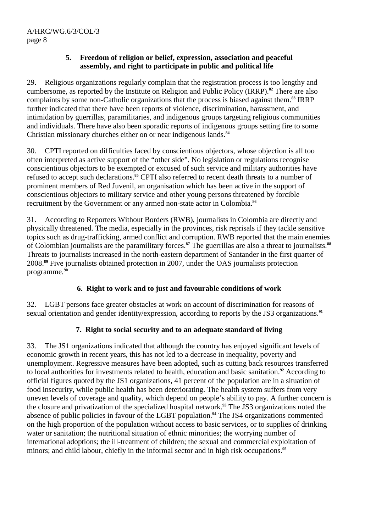## **5. Freedom of religion or belief, expression, association and peaceful assembly, and right to participate in public and political life**

29. Religious organizations regularly complain that the registration process is too lengthy and cumbersome, as reported by the Institute on Religion and Public Policy (IRRP).**<sup>82</sup>** There are also complaints by some non-Catholic organizations that the process is biased against them.**<sup>83</sup>** IRRP further indicated that there have been reports of violence, discrimination, harassment, and intimidation by guerrillas, paramilitaries, and indigenous groups targeting religious communities and individuals. There have also been sporadic reports of indigenous groups setting fire to some Christian missionary churches either on or near indigenous lands.**<sup>84</sup>**

30. CPTI reported on difficulties faced by conscientious objectors, whose objection is all too often interpreted as active support of the "other side". No legislation or regulations recognise conscientious objectors to be exempted or excused of such service and military authorities have refused to accept such declarations.**<sup>85</sup>** CPTI also referred to recent death threats to a number of prominent members of Red Juvenil, an organisation which has been active in the support of conscientious objectors to military service and other young persons threatened by forcible recruitment by the Government or any armed non-state actor in Colombia.**<sup>86</sup>**

31. According to Reporters Without Borders (RWB), journalists in Colombia are directly and physically threatened. The media, especially in the provinces, risk reprisals if they tackle sensitive topics such as drug-trafficking, armed conflict and corruption. RWB reported that the main enemies of Colombian journalists are the paramilitary forces.**<sup>87</sup>** The guerrillas are also a threat to journalists.**<sup>88</sup>** Threats to journalists increased in the north-eastern department of Santander in the first quarter of 2008.**<sup>89</sup>** Five journalists obtained protection in 2007, under the OAS journalists protection programme.**<sup>90</sup>**

# **6. Right to work and to just and favourable conditions of work**

32. LGBT persons face greater obstacles at work on account of discrimination for reasons of sexual orientation and gender identity/expression, according to reports by the JS3 organizations.<sup>91</sup>

# **7. Right to social security and to an adequate standard of living**

33. The JS1 organizations indicated that although the country has enjoyed significant levels of economic growth in recent years, this has not led to a decrease in inequality, poverty and unemployment. Regressive measures have been adopted, such as cutting back resources transferred to local authorities for investments related to health, education and basic sanitation.**<sup>92</sup>** According to official figures quoted by the JS1 organizations, 41 percent of the population are in a situation of food insecurity, while public health has been deteriorating. The health system suffers from very uneven levels of coverage and quality, which depend on people's ability to pay. A further concern is the closure and privatization of the specialized hospital network.**<sup>93</sup>** The JS3 organizations noted the absence of public policies in favour of the LGBT population.**<sup>94</sup>** The JS4 organizations commented on the high proportion of the population without access to basic services, or to supplies of drinking water or sanitation; the nutritional situation of ethnic minorities; the worrying number of international adoptions; the ill-treatment of children; the sexual and commercial exploitation of minors; and child labour, chiefly in the informal sector and in high risk occupations.**95**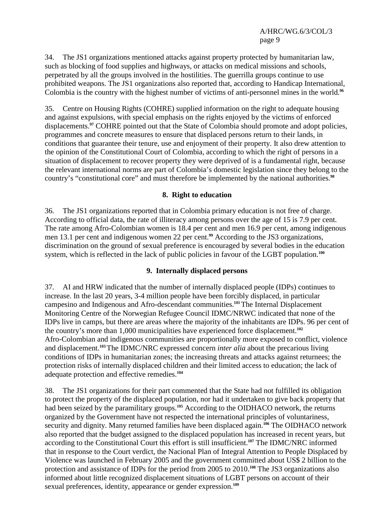34. The JS1 organizations mentioned attacks against property protected by humanitarian law, such as blocking of food supplies and highways, or attacks on medical missions and schools, perpetrated by all the groups involved in the hostilities. The guerrilla groups continue to use prohibited weapons. The JS1 organizations also reported that, according to Handicap International, Colombia is the country with the highest number of victims of anti-personnel mines in the world.**<sup>96</sup>**

35. Centre on Housing Rights (COHRE) supplied information on the right to adequate housing and against expulsions, with special emphasis on the rights enjoyed by the victims of enforced displacements.**<sup>97</sup>** COHRE pointed out that the State of Colombia should promote and adopt policies, programmes and concrete measures to ensure that displaced persons return to their lands, in conditions that guarantee their tenure, use and enjoyment of their property. It also drew attention to the opinion of the Constitutional Court of Colombia, according to which the right of persons in a situation of displacement to recover property they were deprived of is a fundamental right, because the relevant international norms are part of Colombia's domestic legislation since they belong to the country's "constitutional core" and must therefore be implemented by the national authorities.**<sup>98</sup>**

## **8. Right to education**

36. The JS1 organizations reported that in Colombia primary education is not free of charge. According to official data, the rate of illiteracy among persons over the age of 15 is 7.9 per cent. The rate among Afro-Colombian women is 18.4 per cent and men 16.9 per cent, among indigenous men 13.1 per cent and indigenous women 22 per cent.**<sup>99</sup>** According to the JS3 organizations, discrimination on the ground of sexual preference is encouraged by several bodies in the education system, which is reflected in the lack of public policies in favour of the LGBT population.**<sup>100</sup>**

## **9. Internally displaced persons**

37. AI and HRW indicated that the number of internally displaced people (IDPs) continues to increase. In the last 20 years, 3-4 million people have been forcibly displaced, in particular campesino and Indigenous and Afro-descendant communities.**<sup>101</sup>**The Internal Displacement Monitoring Centre of the Norwegian Refugee Council IDMC/NRWC indicated that none of the IDPs live in camps, but there are areas where the majority of the inhabitants are IDPs. 96 per cent of the country's more than 1,000 municipalities have experienced force displacement.**<sup>102</sup>** Afro-Colombian and indigenous communities are proportionally more exposed to conflict, violence and displacement.**<sup>103</sup>**The IDMC/NRC expressed concern *inter alia* about the precarious living conditions of IDPs in humanitarian zones; the increasing threats and attacks against returnees; the protection risks of internally displaced children and their limited access to education; the lack of adequate protection and effective remedies.**<sup>104</sup>**

38. The JS1 organizations for their part commented that the State had not fulfilled its obligation to protect the property of the displaced population, nor had it undertaken to give back property that had been seized by the paramilitary groups.<sup>105</sup> According to the OIDHACO network, the returns organized by the Government have not respected the international principles of voluntariness, security and dignity. Many returned families have been displaced again.**<sup>106</sup>** The OIDHACO network also reported that the budget assigned to the displaced population has increased in recent years, but according to the Constitutional Court this effort is still insufficient.**<sup>107</sup>** The IDMC/NRC informed that in response to the Court verdict, the Nacional Plan of Integral Attention to People Displaced by Violence was launched in February 2005 and the government committed about US\$ 2 billion to the protection and assistance of IDPs for the period from 2005 to 2010.**<sup>108</sup>** The JS3 organizations also informed about little recognized displacement situations of LGBT persons on account of their sexual preferences, identity, appearance or gender expression.**109**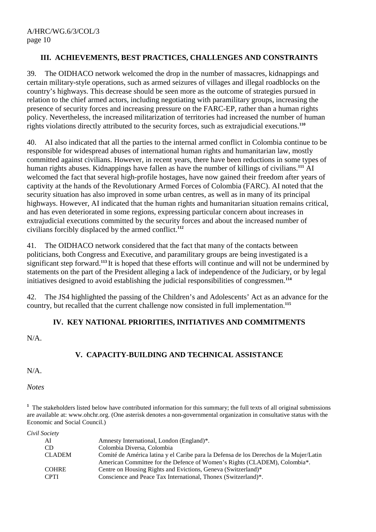## **III. ACHIEVEMENTS, BEST PRACTICES, CHALLENGES AND CONSTRAINTS**

39. The OIDHACO network welcomed the drop in the number of massacres, kidnappings and certain military-style operations, such as armed seizures of villages and illegal roadblocks on the country's highways. This decrease should be seen more as the outcome of strategies pursued in relation to the chief armed actors, including negotiating with paramilitary groups, increasing the presence of security forces and increasing pressure on the FARC-EP, rather than a human rights policy. Nevertheless, the increased militarization of territories had increased the number of human rights violations directly attributed to the security forces, such as extrajudicial executions.**<sup>110</sup>**

40. AI also indicated that all the parties to the internal armed conflict in Colombia continue to be responsible for widespread abuses of international human rights and humanitarian law, mostly committed against civilians. However, in recent years, there have been reductions in some types of human rights abuses. Kidnappings have fallen as have the number of killings of civilians.**<sup>111</sup>** AI welcomed the fact that several high-profile hostages, have now gained their freedom after years of captivity at the hands of the Revolutionary Armed Forces of Colombia (FARC). AI noted that the security situation has also improved in some urban centres, as well as in many of its principal highways. However, AI indicated that the human rights and humanitarian situation remains critical, and has even deteriorated in some regions, expressing particular concern about increases in extrajudicial executions committed by the security forces and about the increased number of civilians forcibly displaced by the armed conflict.**<sup>112</sup>**

41. The OIDHACO network considered that the fact that many of the contacts between politicians, both Congress and Executive, and paramilitary groups are being investigated is a significant step forward.**<sup>113</sup>**It is hoped that these efforts will continue and will not be undermined by statements on the part of the President alleging a lack of independence of the Judiciary, or by legal initiatives designed to avoid establishing the judicial responsibilities of congressmen.**<sup>114</sup>**

42. The JS4 highlighted the passing of the Children's and Adolescents' Act as an advance for the country, but recalled that the current challenge now consisted in full implementation.**<sup>115</sup>**

## **IV. KEY NATIONAL PRIORITIES, INITIATIVES AND COMMITMENTS**

N/A.

# **V. CAPACITY-BUILDING AND TECHNICAL ASSISTANCE**

 $N/A$ .

*Notes* 

<sup>1</sup> The stakeholders listed below have contributed information for this summary; the full texts of all original submissions are available at: www.ohchr.org. (One asterisk denotes a non-governmental organization in consultative status with the Economic and Social Council.)

| Amnesty International, London (England)*.                                              |
|----------------------------------------------------------------------------------------|
| Colombia Diversa, Colombia                                                             |
| Comité de América latina y el Caribe para la Defensa de los Derechos de la Mujer/Latin |
| American Committee for the Defence of Women's Rights (CLADEM), Colombia*.              |
| Centre on Housing Rights and Evictions, Geneva (Switzerland)*                          |
| Conscience and Peace Tax International, Thonex (Switzerland)*.                         |
|                                                                                        |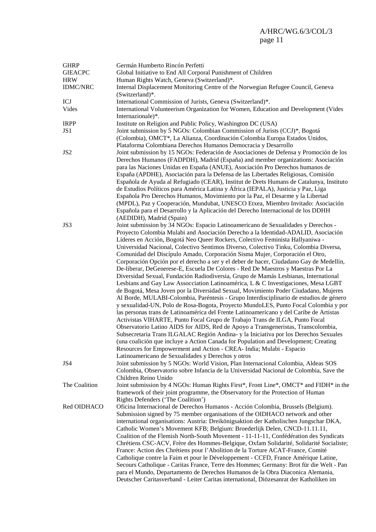| <b>GHRP</b><br><b>GIEACPC</b><br><b>HRW</b> | Germán Humberto Rincón Perfetti<br>Global Initiative to End All Corporal Punishment of Children                                                                                                                                                                                                                                                                                                                                                                                                                                                                                                                                                                                                     |
|---------------------------------------------|-----------------------------------------------------------------------------------------------------------------------------------------------------------------------------------------------------------------------------------------------------------------------------------------------------------------------------------------------------------------------------------------------------------------------------------------------------------------------------------------------------------------------------------------------------------------------------------------------------------------------------------------------------------------------------------------------------|
| <b>IDMC/NRC</b>                             | Human Rights Watch, Geneva (Switzerland)*.<br>Internal Displacement Monitoring Centre of the Norwegian Refugee Council, Geneva<br>(Switzerland)*.                                                                                                                                                                                                                                                                                                                                                                                                                                                                                                                                                   |
| ICJ                                         | International Commission of Jurists, Geneva (Switzerland)*.                                                                                                                                                                                                                                                                                                                                                                                                                                                                                                                                                                                                                                         |
| Vides                                       | International Volunteerism Organization for Women, Education and Development (Vides<br>Internazionale)*.                                                                                                                                                                                                                                                                                                                                                                                                                                                                                                                                                                                            |
| <b>IRPP</b>                                 | Institute on Religion and Public Policy, Washington DC (USA)                                                                                                                                                                                                                                                                                                                                                                                                                                                                                                                                                                                                                                        |
| JS1                                         | Joint submission by 5 NGOs: Colombian Commission of Jurists (CCJ)*, Bogotá<br>(Colombia), OMCT*, La Alianza, Coordinación Colombia Europa Estados Unidos,<br>Plataforma Colombiana Derechos Humanos Democracia y Desarrollo                                                                                                                                                                                                                                                                                                                                                                                                                                                                         |
| JS <sub>2</sub>                             | Joint submission by 15 NGOs: Federación de Asociaciones de Defensa y Promoción de los<br>Derechos Humanos (FADPDH), Madrid (España) and member organizations: Asociación<br>para las Naciones Unidas en España (ANUE), Asociación Pro Derechos humanos de<br>España (APDHE), Asociación para la Defensa de las Libertades Religiosas, Comisión<br>Española de Ayuda al Refugiado (CEAR), Institut de Drets Humans de Catalunya, Instituto<br>de Estudios Políticos para América Latina y África (IEPALA), Justicia y Paz, Liga<br>Española Pro Derechos Humanos, Movimiento por la Paz, el Desarme y la Libertad<br>(MPDL), Paz y Cooperación, Mundubat, UNESCO Etxea, Miembro Invitado: Asociación |
|                                             | Española para el Desarrollo y la Aplicación del Derecho Internacional de los DDHH<br>(AEDIDH), Madrid (Spain)                                                                                                                                                                                                                                                                                                                                                                                                                                                                                                                                                                                       |
| JS3                                         | Joint submission by 34 NGOs: Espacio Latinoamericano de Sexualidades y Derechos -                                                                                                                                                                                                                                                                                                                                                                                                                                                                                                                                                                                                                   |
|                                             | Proyecto Colombia Mulabi and Asociación Derecho a la Identidad-ADALID, Asociación                                                                                                                                                                                                                                                                                                                                                                                                                                                                                                                                                                                                                   |
|                                             | Líderes en Acción, Bogotá Neo Queer Rockers, Colectivo Feminista Hallyaniwa -                                                                                                                                                                                                                                                                                                                                                                                                                                                                                                                                                                                                                       |
|                                             | Universidad Nacional, Colectivo Sentimos Diverso, Colectivo Tinku, Colombia Diversa,                                                                                                                                                                                                                                                                                                                                                                                                                                                                                                                                                                                                                |
|                                             | Comunidad del Discípulo Amado, Corporación Sisma Mujer, Corporación el Otro,                                                                                                                                                                                                                                                                                                                                                                                                                                                                                                                                                                                                                        |
|                                             | Corporación Opción por el derecho a ser y el deber de hacer, Ciudadano Gay de Medellín,                                                                                                                                                                                                                                                                                                                                                                                                                                                                                                                                                                                                             |
|                                             | De-liberar, DeGenerese-E, Escuela De Colores - Red De Maestros y Maestras Por La                                                                                                                                                                                                                                                                                                                                                                                                                                                                                                                                                                                                                    |
|                                             | Diversidad Sexual, Fundación Radiodiversia, Grupo de Mamás Lesbianas, International                                                                                                                                                                                                                                                                                                                                                                                                                                                                                                                                                                                                                 |
|                                             | Lesbians and Gay Law Assocciation Latinoamérica, L & C Investigaciones, Mesa LGBT                                                                                                                                                                                                                                                                                                                                                                                                                                                                                                                                                                                                                   |
|                                             | de Bogotá, Mesa Joven por la Diversidad Sexual, Movimiento Poder Ciudadano, Mujeres<br>Al Borde, MULABI-Colombia, Paréntesis - Grupo Interdisciplinario de estudios de género                                                                                                                                                                                                                                                                                                                                                                                                                                                                                                                       |
|                                             | y sexualidad-UN, Polo de Rosa-Bogota, Proyecto MundoLES, Punto Focal Colombia y por                                                                                                                                                                                                                                                                                                                                                                                                                                                                                                                                                                                                                 |
|                                             | las personas trans de Latinoamérica del Frente Latinoamericano y del Caribe de Artistas<br>Activistas VIHARTE, Punto Focal Grupo de Trabajo Trans de ILGA, Punto Focal                                                                                                                                                                                                                                                                                                                                                                                                                                                                                                                              |
|                                             | Observatorio Latino AIDS for AIDS, Red de Apoyo a Transgeneristas, Transcolombia,<br>Subsecretaria Trans ILGALAC Región Andina- y la Iniciativa por los Derechos Sexuales                                                                                                                                                                                                                                                                                                                                                                                                                                                                                                                           |
|                                             | (una coalición que incluye a Action Canada for Population and Development; Creating                                                                                                                                                                                                                                                                                                                                                                                                                                                                                                                                                                                                                 |
|                                             | Resources for Empowerment and Action - CREA- India; Mulabi - Espacio                                                                                                                                                                                                                                                                                                                                                                                                                                                                                                                                                                                                                                |
|                                             | Latinoamericano de Sexualidades y Derechos y otros                                                                                                                                                                                                                                                                                                                                                                                                                                                                                                                                                                                                                                                  |
| JS4                                         | Joint submission by 5 NGOs: World Vision, Plan Internacional Colombia, Aldeas SOS<br>Colombia, Observatorio sobre Infancia de la Universidad Nacional de Colombia, Save the<br>Children Reino Unido                                                                                                                                                                                                                                                                                                                                                                                                                                                                                                 |
| The Coalition                               | Joint submission by 4 NGOs: Human Rights First*, Front Line*, OMCT* and FIDH* in the                                                                                                                                                                                                                                                                                                                                                                                                                                                                                                                                                                                                                |
|                                             | framework of their joint programme, the Observatory for the Protection of Human                                                                                                                                                                                                                                                                                                                                                                                                                                                                                                                                                                                                                     |
|                                             | Rights Defenders ('The Coalition')                                                                                                                                                                                                                                                                                                                                                                                                                                                                                                                                                                                                                                                                  |
| Red OIDHACO                                 | Oficina Internacional de Derechos Humanos - Acción Colombia, Brussels (Belgium).                                                                                                                                                                                                                                                                                                                                                                                                                                                                                                                                                                                                                    |
|                                             | Submission signed by 75 member organisations of the OIDHACO network and other                                                                                                                                                                                                                                                                                                                                                                                                                                                                                                                                                                                                                       |
|                                             | international organisations: Austria: Dreikönigsaktion der Katholischen Jungschar DKA,                                                                                                                                                                                                                                                                                                                                                                                                                                                                                                                                                                                                              |
|                                             | Catholic Women's Movement KFB; Belgium: Broederlijk Delen, CNCD-11.11.11,                                                                                                                                                                                                                                                                                                                                                                                                                                                                                                                                                                                                                           |
|                                             | Coalition of the Flemish North-South Movement - 11-11-11, Confédération des Syndicats                                                                                                                                                                                                                                                                                                                                                                                                                                                                                                                                                                                                               |
|                                             | Chrétiens CSC-ACV, Frère des Hommes-Belgique, Oxfam Solidarité, Solidarité Socialiste;                                                                                                                                                                                                                                                                                                                                                                                                                                                                                                                                                                                                              |
|                                             | France: Action des Chrétiens pour l'Abolition de la Torture ACAT-France, Comité                                                                                                                                                                                                                                                                                                                                                                                                                                                                                                                                                                                                                     |
|                                             | Catholique contre la Faim et pour le Développement - CCFD, France Amérique Latine,                                                                                                                                                                                                                                                                                                                                                                                                                                                                                                                                                                                                                  |
|                                             | Secours Catholique - Caritas France, Terre des Hommes; Germany: Brot für die Welt - Pan                                                                                                                                                                                                                                                                                                                                                                                                                                                                                                                                                                                                             |
|                                             | para el Mundo, Departamento de Derechos Humanos de la Obra Diaconica Alemania,                                                                                                                                                                                                                                                                                                                                                                                                                                                                                                                                                                                                                      |
|                                             | Deutscher Caritasverband - Leiter Caritas international, Diözesanrat der Katholiken im                                                                                                                                                                                                                                                                                                                                                                                                                                                                                                                                                                                                              |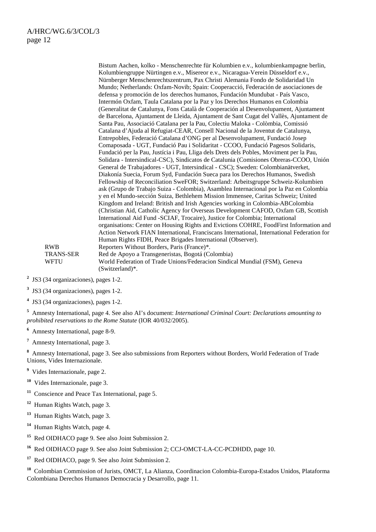|                  | Bistum Aachen, kolko - Menschenrechte für Kolumbien e.v., kolumbienkampagne berlin,        |
|------------------|--------------------------------------------------------------------------------------------|
|                  | Kolumbiengruppe Nürtingen e.v., Misereor e.v., Nicaragua-Verein Düsseldorf e.v.,           |
|                  | Nürnberger Menschenrechtszentrum, Pax Christi Alemania Fondo de Solidaridad Un             |
|                  | Mundo; Netherlands: Oxfam-Novib; Spain: Cooperacció, Federación de asociaciones de         |
|                  | defensa y promoción de los derechos humanos, Fundación Mundubat - País Vasco,              |
|                  | Intermón Oxfam, Taula Catalana por la Paz y los Derechos Humanos en Colombia               |
|                  | (Generalitat de Catalunya, Fons Català de Cooperación al Desenvolupament, Ajuntament       |
|                  | de Barcelona, Ajuntament de Lleida, Ajuntament de Sant Cugat del Vallès, Ajuntament de     |
|                  | Santa Pau, Associació Catalana per la Pau, Colectiu Maloka - Colòmbia, Comissió            |
|                  | Catalana d'Ajuda al Refugiat-CEAR, Consell Nacional de la Joventut de Catalunya,           |
|                  | Entrepobles, Federació Catalana d'ONG per al Desenvolupament, Fundació Josep               |
|                  | Comaposada - UGT, Fundació Pau i Solidaritat - CCOO, Fundació Pagesos Solidaris,           |
|                  | Fundació per la Pau, Justícia i Pau, Lliga dels Drets dels Pobles, Moviment per la Pau,    |
|                  | Solidara - Intersindical-CSC), Sindicatos de Catalunia (Comisiones Obreras-CCOO, Unión     |
|                  | General de Trabajadores - UGT, Intersindical - CSC); Sweden: Colombianätverket,            |
|                  | Diakonía Suecia, Forum Syd, Fundación Sueca para los Derechos Humanos, Swedish             |
|                  | Fellowship of Reconciliation SweFOR; Switzerland: Arbeitsgruppe Schweiz-Kolumbien          |
|                  | ask (Grupo de Trabajo Suiza - Colombia), Asamblea Internacional por la Paz en Colombia     |
|                  | y en el Mundo-sección Suiza, Bethlehem Mission Immensee, Caritas Schweiz; United           |
|                  | Kingdom and Ireland: British and Irish Agencies working in Colombia-ABColombia             |
|                  | (Christian Aid, Catholic Agency for Overseas Development CAFOD, Oxfam GB, Scottish         |
|                  | International Aid Fund -SCIAF, Trocaire), Justice for Colombia; International              |
|                  | organisations: Center on Housing Rights and Evictions COHRE, FoodFirst Information and     |
|                  | Action Network FIAN International, Franciscans International, International Federation for |
|                  | Human Rights FIDH, Peace Brigades International (Observer).                                |
| <b>RWB</b>       | Reporters Without Borders, Paris (France)*.                                                |
| <b>TRANS-SER</b> | Red de Apoyo a Transgeneristas, Bogotá (Colombia)                                          |
| WFTU             | World Federation of Trade Unions/Federacion Sindical Mundial (FSM), Geneva                 |
|                  | $(Switzerland)^*$ .                                                                        |

**2** JS3 (34 organizaciones), pages 1-2.

**3** JS3 (34 organizaciones), pages 1-2.

**5** Amnesty International, page 4. See also AI's document: *International Criminal Court: Declarations amounting to prohibited reservations to the Rome Statute* (IOR 40/032/2005).

**6** Amnesty International, page 8-9.

**7** Amnesty International, page 3.

**8** Amnesty International, page 3. See also submissions from Reporters without Borders, World Federation of Trade Unions, Vides Internazionale.

- **9** Vides Internazionale, page 2.
- **<sup>10</sup>** Vides Internazionale, page 3.
- **<sup>11</sup>** Conscience and Peace Tax International, page 5.
- **<sup>12</sup>** Human Rights Watch, page 3.
- **<sup>13</sup>** Human Rights Watch, page 3.
- **<sup>14</sup>** Human Rights Watch, page 4.
- **<sup>15</sup>** Red OIDHACO page 9. See also Joint Submission 2.
- **<sup>16</sup>** Red OIDHACO page 9. See also Joint Submission 2; CCJ-OMCT-LA-CC-PCDHDD, page 10.

**<sup>17</sup>** Red OIDHACO, page 9. See also Joint Submission 2.

**<sup>18</sup>** Colombian Commission of Jurists, OMCT, La Alianza, Coordinacion Colombia-Europa-Estados Unidos, Plataforma Colombiana Derechos Humanos Democracia y Desarrollo, page 11.

**<sup>4</sup>** JS3 (34 organizaciones), pages 1-2.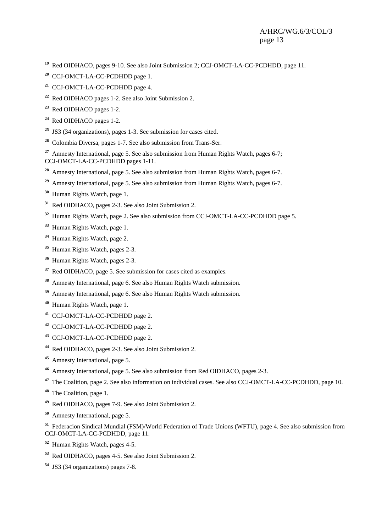- Red OIDHACO, pages 9-10. See also Joint Submission 2; CCJ-OMCT-LA-CC-PCDHDD, page 11.
- CCJ-OMCT-LA-CC-PCDHDD page 1.
- CCJ-OMCT-LA-CC-PCDHDD page 4.
- Red OIDHACO pages 1-2. See also Joint Submission 2.
- Red OIDHACO pages 1-2.
- Red OIDHACO pages 1-2.
- JS3 (34 organizations), pages 1-3. See submission for cases cited.
- Colombia Diversa, pages 1-7. See also submission from Trans-Ser.

 Amnesty International, page 5. See also submission from Human Rights Watch, pages 6-7; CCJ-OMCT-LA-CC-PCDHDD pages 1-11.

- Amnesty International, page 5. See also submission from Human Rights Watch, pages 6-7.
- Amnesty International, page 5. See also submission from Human Rights Watch, pages 6-7.
- Human Rights Watch, page 1.
- Red OIDHACO, pages 2-3. See also Joint Submission 2.
- Human Rights Watch, page 2. See also submission from CCJ-OMCT-LA-CC-PCDHDD page 5.
- Human Rights Watch, page 1.
- Human Rights Watch, page 2.
- Human Rights Watch, pages 2-3.
- Human Rights Watch, pages 2-3.
- Red OIDHACO, page 5. See submission for cases cited as examples.
- Amnesty International, page 6. See also Human Rights Watch submission.
- Amnesty International, page 6. See also Human Rights Watch submission.
- Human Rights Watch, page 1.
- CCJ-OMCT-LA-CC-PCDHDD page 2.
- CCJ-OMCT-LA-CC-PCDHDD page 2.
- CCJ-OMCT-LA-CC-PCDHDD page 2.
- Red OIDHACO, pages 2-3. See also Joint Submission 2.
- Amnesty International, page 5.
- Amnesty International, page 5. See also submission from Red OIDHACO, pages 2-3.
- The Coalition, page 2. See also information on individual cases. See also CCJ-OMCT-LA-CC-PCDHDD, page 10.
- The Coalition, page 1.
- Red OIDHACO, pages 7-9. See also Joint Submission 2.
- Amnesty International, page 5.

 Federacion Sindical Mundial (FSM)/World Federation of Trade Unions (WFTU), page 4. See also submission from CCJ-OMCT-LA-CC-PCDHDD, page 11.

- Human Rights Watch, pages 4-5.
- Red OIDHACO, pages 4-5. See also Joint Submission 2.
- JS3 (34 organizations) pages 7-8.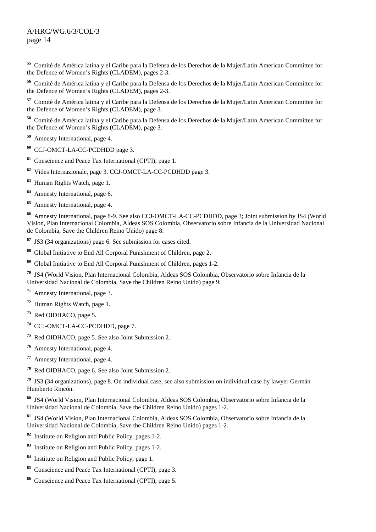#### A/HRC/WG.6/3/COL/3 page 14

 Comité de América latina y el Caribe para la Defensa de los Derechos de la Mujer/Latin American Committee for the Defence of Women's Rights (CLADEM), pages 2-3.

 Comité de América latina y el Caribe para la Defensa de los Derechos de la Mujer/Latin American Committee for the Defence of Women's Rights (CLADEM), pages 2-3.

 Comité de América latina y el Caribe para la Defensa de los Derechos de la Mujer/Latin American Committee for the Defence of Women's Rights (CLADEM), page 3.

 Comité de América latina y el Caribe para la Defensa de los Derechos de la Mujer/Latin American Committee for the Defence of Women's Rights (CLADEM), page 3.

Amnesty International, page 4.

CCJ-OMCT-LA-CC-PCDHDD page 3.

Conscience and Peace Tax International (CPTI), page 1.

Vides Internazionale, page 3. CCJ-OMCT-LA-CC-PCDHDD page 3.

Human Rights Watch, page 1.

Amnesty International, page 6.

Amnesty International, page 4.

 Amnesty International, page 8-9. See also CCJ-OMCT-LA-CC-PCDHDD, page 3; Joint submission by JS4 (World Vision, Plan Internacional Colombia, Aldeas SOS Colombia, Observatorio sobre Infancia de la Universidad Nacional de Colombia, Save the Children Reino Unido) page 8.

JS3 (34 organizations) page 6. See submission for cases cited.

Global Initiative to End All Corporal Punishment of Children, page 2.

Global Initiative to End All Corporal Punishment of Children, pages 1-2.

 JS4 (World Vision, Plan Internacional Colombia, Aldeas SOS Colombia, Observatorio sobre Infancia de la Universidad Nacional de Colombia, Save the Children Reino Unido) page 9.

Amnesty International, page 3.

Human Rights Watch, page 1.

Red OIDHACO, page 5.

CCJ-OMCT-LA-CC-PCDHDD, page 7.

Red OIDHACO, page 5. See also Joint Submission 2.

Amnesty International, page 4.

Amnesty International, page 4.

Red OIDHACO, page 6. See also Joint Submission 2.

 JS3 (34 organizations), page 8. On individual case, see also submission on individual case by lawyer Germán Humberto Rincón.

 JS4 (World Vision, Plan Internacional Colombia, Aldeas SOS Colombia, Observatorio sobre Infancia de la Universidad Nacional de Colombia, Save the Children Reino Unido) pages 1-2.

 JS4 (World Vision, Plan Internacional Colombia, Aldeas SOS Colombia, Observatorio sobre Infancia de la Universidad Nacional de Colombia, Save the Children Reino Unido) pages 1-2.

Institute on Religion and Public Policy, pages 1-2.

Institute on Religion and Public Policy, pages 1-2.

Institute on Religion and Public Policy, page 1.

Conscience and Peace Tax International (CPTI), page 3.

Conscience and Peace Tax International (CPTI), page 5.